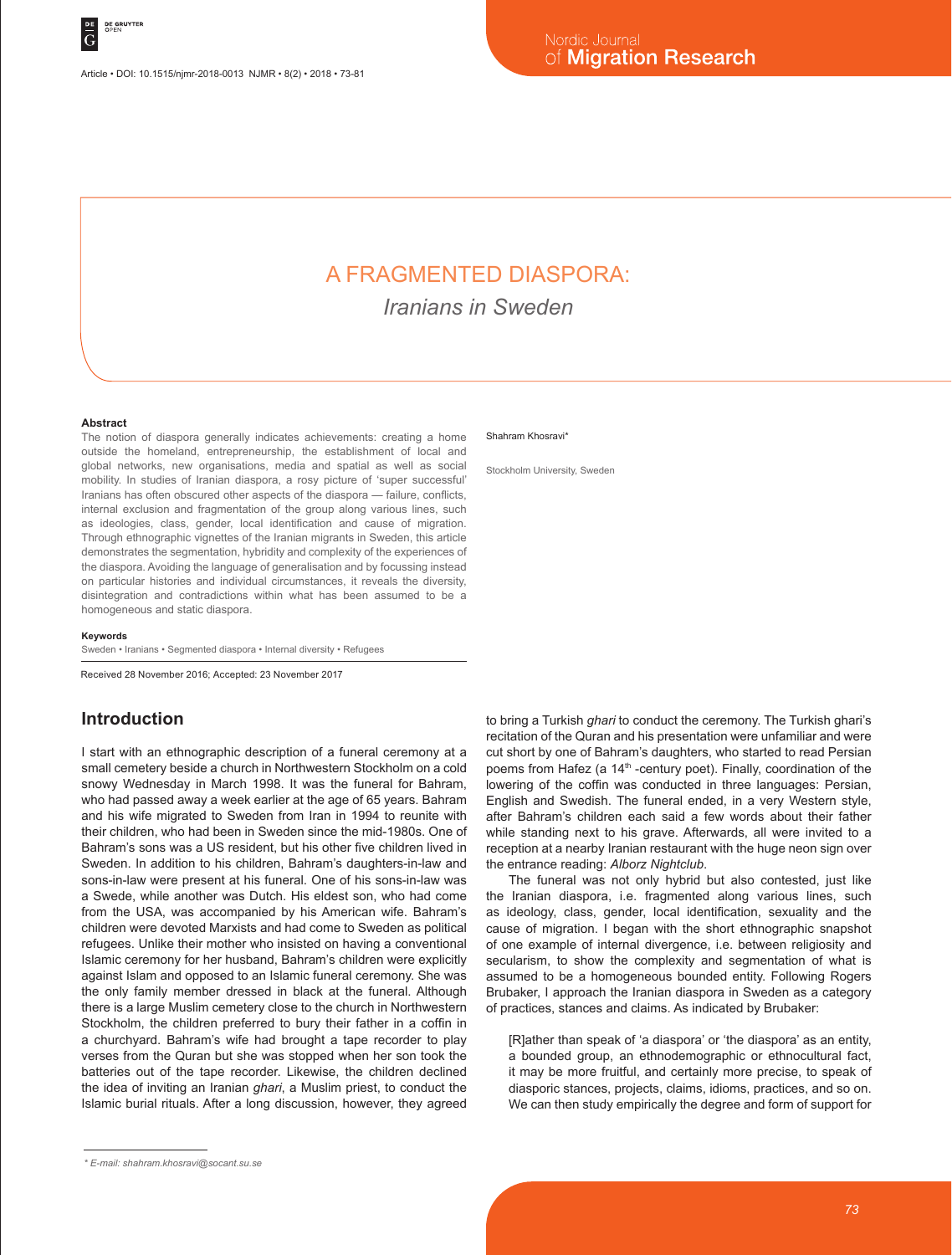# A FRAGMENTED DIASPORA:

*Iranians in Sweden*

#### **Abstract**

The notion of diaspora generally indicates achievements: creating a home outside the homeland, entrepreneurship, the establishment of local and global networks, new organisations, media and spatial as well as social mobility. In studies of Iranian diaspora, a rosy picture of 'super successful' Iranians has often obscured other aspects of the diaspora — failure, conflicts, internal exclusion and fragmentation of the group along various lines, such as ideologies, class, gender, local identification and cause of migration. Through ethnographic vignettes of the Iranian migrants in Sweden, this article demonstrates the segmentation, hybridity and complexity of the experiences of the diaspora. Avoiding the language of generalisation and by focussing instead on particular histories and individual circumstances, it reveals the diversity, disintegration and contradictions within what has been assumed to be a homogeneous and static diaspora.

#### **Keywords**

Sweden • Iranians • Segmented diaspora • Internal diversity • Refugees

Received 28 November 2016; Accepted: 23 November 2017

#### **Introduction**

I start with an ethnographic description of a funeral ceremony at a small cemetery beside a church in Northwestern Stockholm on a cold snowy Wednesday in March 1998. It was the funeral for Bahram, who had passed away a week earlier at the age of 65 years. Bahram and his wife migrated to Sweden from Iran in 1994 to reunite with their children, who had been in Sweden since the mid-1980s. One of Bahram's sons was a US resident, but his other five children lived in Sweden. In addition to his children, Bahram's daughters-in-law and sons-in-law were present at his funeral. One of his sons-in-law was a Swede, while another was Dutch. His eldest son, who had come from the USA, was accompanied by his American wife. Bahram's children were devoted Marxists and had come to Sweden as political refugees. Unlike their mother who insisted on having a conventional Islamic ceremony for her husband, Bahram's children were explicitly against Islam and opposed to an Islamic funeral ceremony. She was the only family member dressed in black at the funeral. Although there is a large Muslim cemetery close to the church in Northwestern Stockholm, the children preferred to bury their father in a coffin in a churchyard. Bahram's wife had brought a tape recorder to play verses from the Quran but she was stopped when her son took the batteries out of the tape recorder. Likewise, the children declined the idea of inviting an Iranian *ghari*, a Muslim priest, to conduct the Islamic burial rituals. After a long discussion, however, they agreed

Stockholm University, Sweden

to bring a Turkish *ghari* to conduct the ceremony. The Turkish ghari's recitation of the Quran and his presentation were unfamiliar and were cut short by one of Bahram's daughters, who started to read Persian poems from Hafez (a 14<sup>th</sup> -century poet). Finally, coordination of the lowering of the coffin was conducted in three languages: Persian, English and Swedish. The funeral ended, in a very Western style, after Bahram's children each said a few words about their father while standing next to his grave. Afterwards, all were invited to a reception at a nearby Iranian restaurant with the huge neon sign over the entrance reading: *Alborz Nightclub*.

The funeral was not only hybrid but also contested, just like the Iranian diaspora, i.e. fragmented along various lines, such as ideology, class, gender, local identification, sexuality and the cause of migration. I began with the short ethnographic snapshot of one example of internal divergence, i.e. between religiosity and secularism, to show the complexity and segmentation of what is assumed to be a homogeneous bounded entity. Following Rogers Brubaker, I approach the Iranian diaspora in Sweden as a category of practices, stances and claims. As indicated by Brubaker:

[R]ather than speak of 'a diaspora' or 'the diaspora' as an entity, a bounded group, an ethnodemographic or ethnocultural fact, it may be more fruitful, and certainly more precise, to speak of diasporic stances, projects, claims, idioms, practices, and so on. We can then study empirically the degree and form of support for

Shahram Khosravi'

*<sup>\*</sup> E-mail: shahram.khosravi@socant.su.se*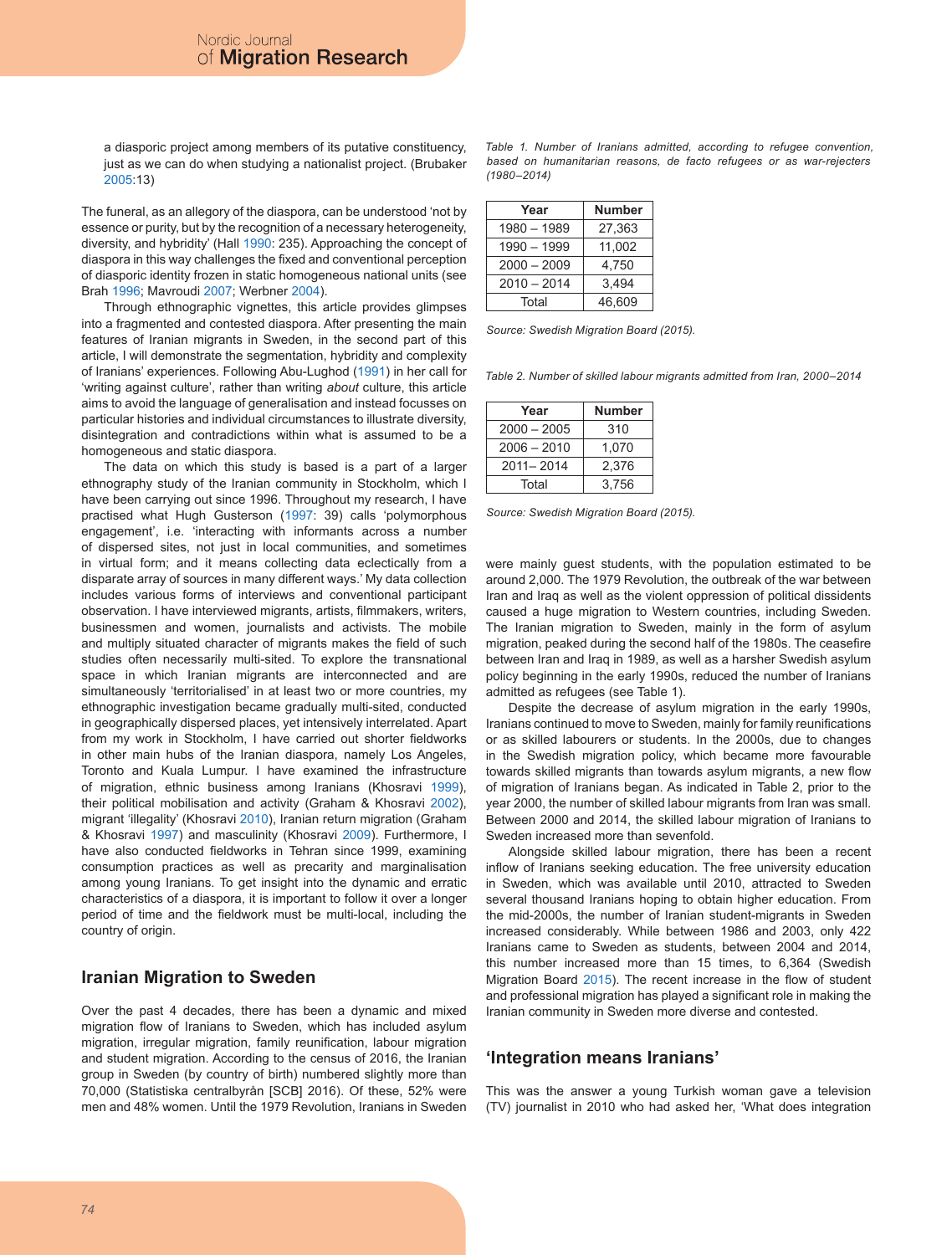a diasporic project among members of its putative constituency, just as we can do when studying a nationalist project. (Brubaker 2005:13)

The funeral, as an allegory of the diaspora, can be understood 'not by essence or purity, but by the recognition of a necessary heterogeneity, diversity, and hybridity' (Hall 1990: 235). Approaching the concept of diaspora in this way challenges the fixed and conventional perception of diasporic identity frozen in static homogeneous national units (see Brah 1996; Mavroudi 2007; Werbner 2004).

Through ethnographic vignettes, this article provides glimpses into a fragmented and contested diaspora. After presenting the main features of Iranian migrants in Sweden, in the second part of this article, I will demonstrate the segmentation, hybridity and complexity of Iranians' experiences. Following Abu-Lughod (1991) in her call for 'writing against culture', rather than writing *about* culture, this article aims to avoid the language of generalisation and instead focusses on particular histories and individual circumstances to illustrate diversity, disintegration and contradictions within what is assumed to be a homogeneous and static diaspora.

The data on which this study is based is a part of a larger ethnography study of the Iranian community in Stockholm, which I have been carrying out since 1996. Throughout my research, I have practised what Hugh Gusterson (1997: 39) calls 'polymorphous engagement', i.e. 'interacting with informants across a number of dispersed sites, not just in local communities, and sometimes in virtual form; and it means collecting data eclectically from a disparate array of sources in many different ways.' My data collection includes various forms of interviews and conventional participant observation. I have interviewed migrants, artists, filmmakers, writers, businessmen and women, journalists and activists. The mobile and multiply situated character of migrants makes the field of such studies often necessarily multi-sited. To explore the transnational space in which Iranian migrants are interconnected and are simultaneously 'territorialised' in at least two or more countries, my ethnographic investigation became gradually multi-sited, conducted in geographically dispersed places, yet intensively interrelated. Apart from my work in Stockholm, I have carried out shorter fieldworks in other main hubs of the Iranian diaspora, namely Los Angeles, Toronto and Kuala Lumpur. I have examined the infrastructure of migration, ethnic business among Iranians (Khosravi 1999), their political mobilisation and activity (Graham & Khosravi 2002), migrant 'illegality' (Khosravi 2010), Iranian return migration (Graham & Khosravi 1997) and masculinity (Khosravi 2009). Furthermore, I have also conducted fieldworks in Tehran since 1999, examining consumption practices as well as precarity and marginalisation among young Iranians. To get insight into the dynamic and erratic characteristics of a diaspora, it is important to follow it over a longer period of time and the fieldwork must be multi-local, including the country of origin.

#### **Iranian Migration to Sweden**

Over the past 4 decades, there has been a dynamic and mixed migration flow of Iranians to Sweden, which has included asylum migration, irregular migration, family reunification, labour migration and student migration. According to the census of 2016, the Iranian group in Sweden (by country of birth) numbered slightly more than 70,000 (Statistiska centralbyrån [SCB] 2016). Of these, 52% were men and 48% women. Until the 1979 Revolution, Iranians in Sweden

*Table 1. Number of Iranians admitted, according to refugee convention, based on humanitarian reasons, de facto refugees or as war-rejecters (1980–2014)*

| Year          | <b>Number</b> |
|---------------|---------------|
| 1980 - 1989   | 27,363        |
| 1990 - 1999   | 11,002        |
| $2000 - 2009$ | 4,750         |
| $2010 - 2014$ | 3,494         |
| Total         | 46,609        |

*Source: Swedish Migration Board (2015).*

*Table 2. Number of skilled labour migrants admitted from Iran, 2000–2014* 

| Year          | <b>Number</b> |
|---------------|---------------|
| $2000 - 2005$ | 310           |
| $2006 - 2010$ | 1,070         |
| $2011 - 2014$ | 2,376         |
| Total         | 3,756         |

*Source: Swedish Migration Board (2015).*

were mainly guest students, with the population estimated to be around 2,000. The 1979 Revolution, the outbreak of the war between Iran and Iraq as well as the violent oppression of political dissidents caused a huge migration to Western countries, including Sweden. The Iranian migration to Sweden, mainly in the form of asylum migration, peaked during the second half of the 1980s. The ceasefire between Iran and Iraq in 1989, as well as a harsher Swedish asylum policy beginning in the early 1990s, reduced the number of Iranians admitted as refugees (see Table 1).

Despite the decrease of asylum migration in the early 1990s, Iranians continued to move to Sweden, mainly for family reunifications or as skilled labourers or students. In the 2000s, due to changes in the Swedish migration policy, which became more favourable towards skilled migrants than towards asylum migrants, a new flow of migration of Iranians began. As indicated in Table 2, prior to the year 2000, the number of skilled labour migrants from Iran was small. Between 2000 and 2014, the skilled labour migration of Iranians to Sweden increased more than sevenfold.

Alongside skilled labour migration, there has been a recent inflow of Iranians seeking education. The free university education in Sweden, which was available until 2010, attracted to Sweden several thousand Iranians hoping to obtain higher education. From the mid-2000s, the number of Iranian student-migrants in Sweden increased considerably. While between 1986 and 2003, only 422 Iranians came to Sweden as students, between 2004 and 2014, this number increased more than 15 times, to 6,364 (Swedish Migration Board 2015). The recent increase in the flow of student and professional migration has played a significant role in making the Iranian community in Sweden more diverse and contested.

#### **'Integration means Iranians'**

This was the answer a young Turkish woman gave a television (TV) journalist in 2010 who had asked her, 'What does integration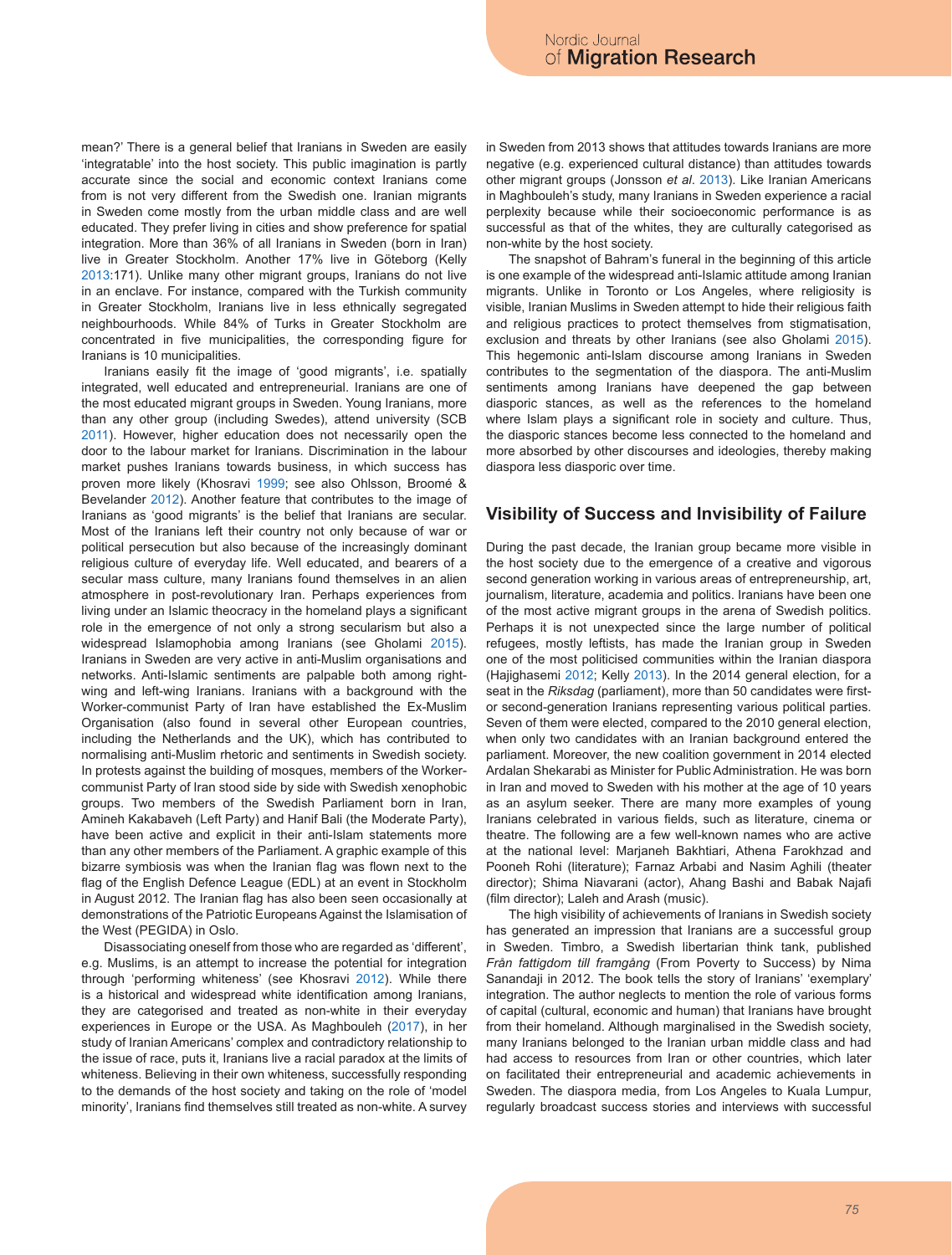mean?' There is a general belief that Iranians in Sweden are easily 'integratable' into the host society. This public imagination is partly accurate since the social and economic context Iranians come from is not very different from the Swedish one. Iranian migrants in Sweden come mostly from the urban middle class and are well educated. They prefer living in cities and show preference for spatial integration. More than 36% of all Iranians in Sweden (born in Iran) live in Greater Stockholm. Another 17% live in Göteborg (Kelly 2013:171). Unlike many other migrant groups, Iranians do not live in an enclave. For instance, compared with the Turkish community in Greater Stockholm, Iranians live in less ethnically segregated neighbourhoods. While 84% of Turks in Greater Stockholm are concentrated in five municipalities, the corresponding figure for Iranians is 10 municipalities.

Iranians easily fit the image of 'good migrants', i.e. spatially integrated, well educated and entrepreneurial. Iranians are one of the most educated migrant groups in Sweden. Young Iranians, more than any other group (including Swedes), attend university (SCB 2011). However, higher education does not necessarily open the door to the labour market for Iranians. Discrimination in the labour market pushes Iranians towards business, in which success has proven more likely (Khosravi 1999; see also Ohlsson, Broomé & Bevelander 2012). Another feature that contributes to the image of Iranians as 'good migrants' is the belief that Iranians are secular. Most of the Iranians left their country not only because of war or political persecution but also because of the increasingly dominant religious culture of everyday life. Well educated, and bearers of a secular mass culture, many Iranians found themselves in an alien atmosphere in post-revolutionary Iran. Perhaps experiences from living under an Islamic theocracy in the homeland plays a significant role in the emergence of not only a strong secularism but also a widespread Islamophobia among Iranians (see Gholami 2015). Iranians in Sweden are very active in anti-Muslim organisations and networks. Anti-Islamic sentiments are palpable both among rightwing and left-wing Iranians. Iranians with a background with the Worker-communist Party of Iran have established the Ex-Muslim Organisation (also found in several other European countries, including the Netherlands and the UK), which has contributed to normalising anti-Muslim rhetoric and sentiments in Swedish society. In protests against the building of mosques, members of the Workercommunist Party of Iran stood side by side with Swedish xenophobic groups. Two members of the Swedish Parliament born in Iran, Amineh Kakabaveh (Left Party) and Hanif Bali (the Moderate Party), have been active and explicit in their anti-Islam statements more than any other members of the Parliament. A graphic example of this bizarre symbiosis was when the Iranian flag was flown next to the flag of the English Defence League (EDL) at an event in Stockholm in August 2012. The Iranian flag has also been seen occasionally at demonstrations of the Patriotic Europeans Against the Islamisation of the West (PEGIDA) in Oslo.

Disassociating oneself from those who are regarded as 'different', e.g. Muslims, is an attempt to increase the potential for integration through 'performing whiteness' (see Khosravi 2012). While there is a historical and widespread white identification among Iranians, they are categorised and treated as non-white in their everyday experiences in Europe or the USA. As Maghbouleh (2017), in her study of Iranian Americans' complex and contradictory relationship to the issue of race, puts it, Iranians live a racial paradox at the limits of whiteness. Believing in their own whiteness, successfully responding to the demands of the host society and taking on the role of 'model minority', Iranians find themselves still treated as non-white. A survey in Sweden from 2013 shows that attitudes towards Iranians are more negative (e.g. experienced cultural distance) than attitudes towards other migrant groups (Jonsson *et al*. 2013). Like Iranian Americans in Maghbouleh's study, many Iranians in Sweden experience a racial perplexity because while their socioeconomic performance is as successful as that of the whites, they are culturally categorised as non-white by the host society.

The snapshot of Bahram's funeral in the beginning of this article is one example of the widespread anti-Islamic attitude among Iranian migrants. Unlike in Toronto or Los Angeles, where religiosity is visible, Iranian Muslims in Sweden attempt to hide their religious faith and religious practices to protect themselves from stigmatisation, exclusion and threats by other Iranians (see also Gholami 2015). This hegemonic anti-Islam discourse among Iranians in Sweden contributes to the segmentation of the diaspora. The anti-Muslim sentiments among Iranians have deepened the gap between diasporic stances, as well as the references to the homeland where Islam plays a significant role in society and culture. Thus, the diasporic stances become less connected to the homeland and more absorbed by other discourses and ideologies, thereby making diaspora less diasporic over time.

#### **Visibility of Success and Invisibility of Failure**

During the past decade, the Iranian group became more visible in the host society due to the emergence of a creative and vigorous second generation working in various areas of entrepreneurship, art, journalism, literature, academia and politics. Iranians have been one of the most active migrant groups in the arena of Swedish politics. Perhaps it is not unexpected since the large number of political refugees, mostly leftists, has made the Iranian group in Sweden one of the most politicised communities within the Iranian diaspora (Hajighasemi 2012; Kelly 2013). In the 2014 general election, for a seat in the *Riksdag* (parliament), more than 50 candidates were firstor second-generation Iranians representing various political parties. Seven of them were elected, compared to the 2010 general election, when only two candidates with an Iranian background entered the parliament. Moreover, the new coalition government in 2014 elected Ardalan Shekarabi as Minister for Public Administration. He was born in Iran and moved to Sweden with his mother at the age of 10 years as an asylum seeker. There are many more examples of young Iranians celebrated in various fields, such as literature, cinema or theatre. The following are a few well-known names who are active at the national level: Marjaneh Bakhtiari, Athena Farokhzad and Pooneh Rohi (literature); Farnaz Arbabi and Nasim Aghili (theater director); Shima Niavarani (actor), Ahang Bashi and Babak Najafi (film director); Laleh and Arash (music).

The high visibility of achievements of Iranians in Swedish society has generated an impression that Iranians are a successful group in Sweden. Timbro, a Swedish libertarian think tank, published *Från fattigdom till framgång* (From Poverty to Success) by Nima Sanandaji in 2012. The book tells the story of Iranians' 'exemplary' integration. The author neglects to mention the role of various forms of capital (cultural, economic and human) that Iranians have brought from their homeland. Although marginalised in the Swedish society, many Iranians belonged to the Iranian urban middle class and had had access to resources from Iran or other countries, which later on facilitated their entrepreneurial and academic achievements in Sweden. The diaspora media, from Los Angeles to Kuala Lumpur, regularly broadcast success stories and interviews with successful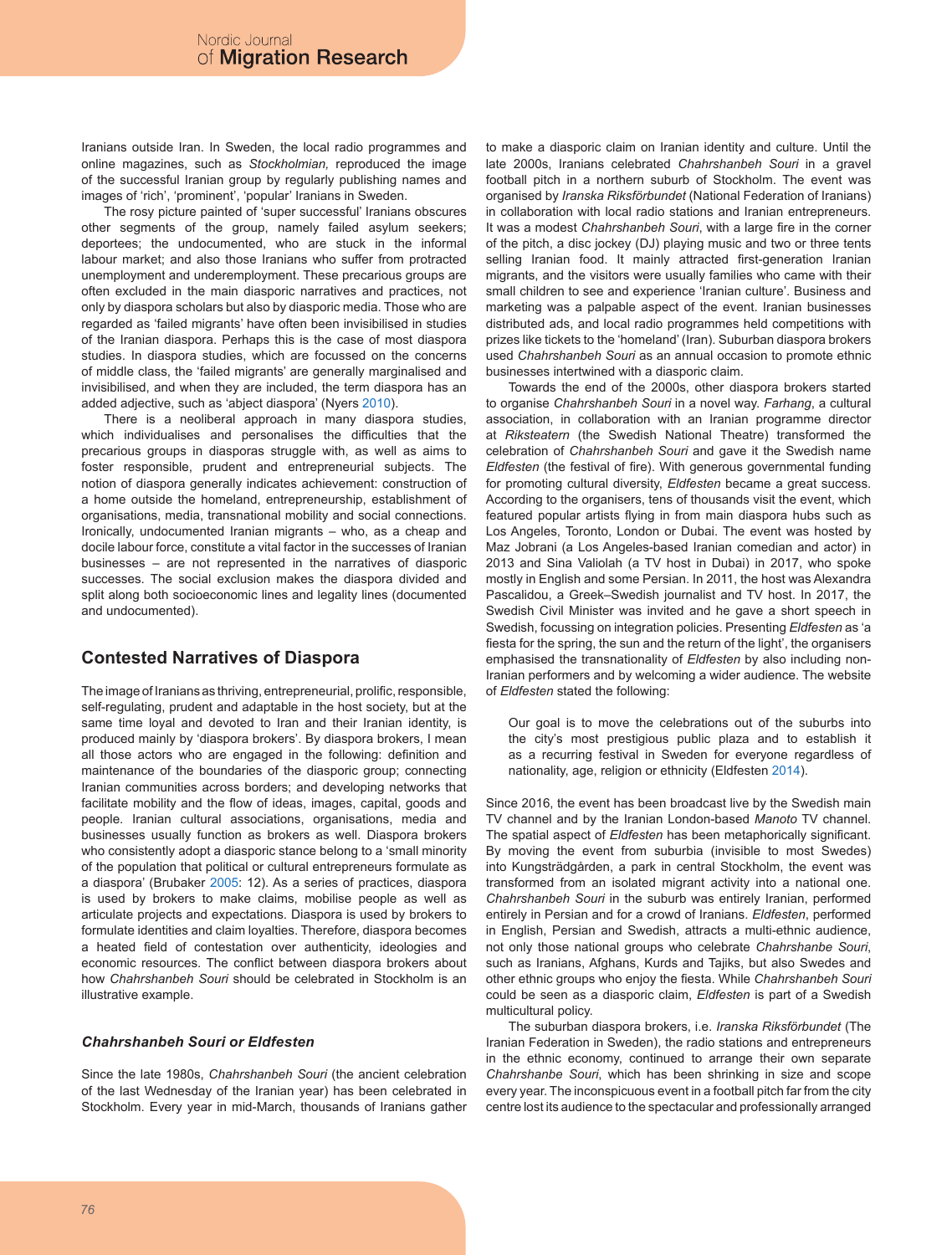Iranians outside Iran. In Sweden, the local radio programmes and online magazines, such as *Stockholmian,* reproduced the image of the successful Iranian group by regularly publishing names and images of 'rich', 'prominent', 'popular' Iranians in Sweden.

The rosy picture painted of 'super successful' Iranians obscures other segments of the group, namely failed asylum seekers; deportees; the undocumented, who are stuck in the informal labour market; and also those Iranians who suffer from protracted unemployment and underemployment. These precarious groups are often excluded in the main diasporic narratives and practices, not only by diaspora scholars but also by diasporic media. Those who are regarded as 'failed migrants' have often been invisibilised in studies of the Iranian diaspora. Perhaps this is the case of most diaspora studies. In diaspora studies, which are focussed on the concerns of middle class, the 'failed migrants' are generally marginalised and invisibilised, and when they are included, the term diaspora has an added adjective, such as 'abject diaspora' (Nyers 2010).

There is a neoliberal approach in many diaspora studies, which individualises and personalises the difficulties that the precarious groups in diasporas struggle with, as well as aims to foster responsible, prudent and entrepreneurial subjects. The notion of diaspora generally indicates achievement: construction of a home outside the homeland, entrepreneurship, establishment of organisations, media, transnational mobility and social connections. Ironically, undocumented Iranian migrants – who, as a cheap and docile labour force, constitute a vital factor in the successes of Iranian businesses – are not represented in the narratives of diasporic successes. The social exclusion makes the diaspora divided and split along both socioeconomic lines and legality lines (documented and undocumented).

# **Contested Narratives of Diaspora**

The image of Iranians as thriving, entrepreneurial, prolific, responsible, self-regulating, prudent and adaptable in the host society, but at the same time loyal and devoted to Iran and their Iranian identity, is produced mainly by 'diaspora brokers'. By diaspora brokers, I mean all those actors who are engaged in the following: definition and maintenance of the boundaries of the diasporic group; connecting Iranian communities across borders; and developing networks that facilitate mobility and the flow of ideas, images, capital, goods and people. Iranian cultural associations, organisations, media and businesses usually function as brokers as well. Diaspora brokers who consistently adopt a diasporic stance belong to a 'small minority of the population that political or cultural entrepreneurs formulate as a diaspora' (Brubaker 2005: 12). As a series of practices, diaspora is used by brokers to make claims, mobilise people as well as articulate projects and expectations. Diaspora is used by brokers to formulate identities and claim loyalties. Therefore, diaspora becomes a heated field of contestation over authenticity, ideologies and economic resources. The conflict between diaspora brokers about how *Chahrshanbeh Souri* should be celebrated in Stockholm is an illustrative example.

#### *Chahrshanbeh Souri or Eldfesten*

Since the late 1980s, *Chahrshanbeh Souri* (the ancient celebration of the last Wednesday of the Iranian year) has been celebrated in Stockholm. Every year in mid-March, thousands of Iranians gather to make a diasporic claim on Iranian identity and culture. Until the late 2000s, Iranians celebrated *Chahrshanbeh Souri* in a gravel football pitch in a northern suburb of Stockholm. The event was organised by *Iranska Riksförbundet* (National Federation of Iranians) in collaboration with local radio stations and Iranian entrepreneurs. It was a modest *Chahrshanbeh Souri*, with a large fire in the corner of the pitch, a disc jockey (DJ) playing music and two or three tents selling Iranian food. It mainly attracted first-generation Iranian migrants, and the visitors were usually families who came with their small children to see and experience 'Iranian culture'. Business and marketing was a palpable aspect of the event. Iranian businesses distributed ads, and local radio programmes held competitions with prizes like tickets to the 'homeland' (Iran). Suburban diaspora brokers used *Chahrshanbeh Souri* as an annual occasion to promote ethnic businesses intertwined with a diasporic claim.

Towards the end of the 2000s, other diaspora brokers started to organise *Chahrshanbeh Souri* in a novel way. *Farhang*, a cultural association, in collaboration with an Iranian programme director at *Riksteatern* (the Swedish National Theatre) transformed the celebration of *Chahrshanbeh Souri* and gave it the Swedish name *Eldfesten* (the festival of fire). With generous governmental funding for promoting cultural diversity, *Eldfesten* became a great success. According to the organisers, tens of thousands visit the event, which featured popular artists flying in from main diaspora hubs such as Los Angeles, Toronto, London or Dubai. The event was hosted by Maz Jobrani (a Los Angeles-based Iranian comedian and actor) in 2013 and Sina Valiolah (a TV host in Dubai) in 2017, who spoke mostly in English and some Persian. In 2011, the host was Alexandra Pascalidou, a Greek–Swedish journalist and TV host. In 2017, the Swedish Civil Minister was invited and he gave a short speech in Swedish, focussing on integration policies. Presenting *Eldfesten* as 'a fiesta for the spring, the sun and the return of the light', the organisers emphasised the transnationality of *Eldfesten* by also including non-Iranian performers and by welcoming a wider audience. The website of *Eldfesten* stated the following:

Our goal is to move the celebrations out of the suburbs into the city's most prestigious public plaza and to establish it as a recurring festival in Sweden for everyone regardless of nationality, age, religion or ethnicity (Eldfesten 2014).

Since 2016, the event has been broadcast live by the Swedish main TV channel and by the Iranian London-based *Manoto* TV channel. The spatial aspect of *Eldfesten* has been metaphorically significant. By moving the event from suburbia (invisible to most Swedes) into Kungsträdgården, a park in central Stockholm, the event was transformed from an isolated migrant activity into a national one. *Chahrshanbeh Souri* in the suburb was entirely Iranian, performed entirely in Persian and for a crowd of Iranians. *Eldfesten*, performed in English, Persian and Swedish, attracts a multi-ethnic audience, not only those national groups who celebrate *Chahrshanbe Souri*, such as Iranians, Afghans, Kurds and Tajiks, but also Swedes and other ethnic groups who enjoy the fiesta. While *Chahrshanbeh Souri* could be seen as a diasporic claim, *Eldfesten* is part of a Swedish multicultural policy.

The suburban diaspora brokers, i.e. *Iranska Riksförbundet* (The Iranian Federation in Sweden), the radio stations and entrepreneurs in the ethnic economy, continued to arrange their own separate *Chahrshanbe Souri*, which has been shrinking in size and scope every year. The inconspicuous event in a football pitch far from the city centre lost its audience to the spectacular and professionally arranged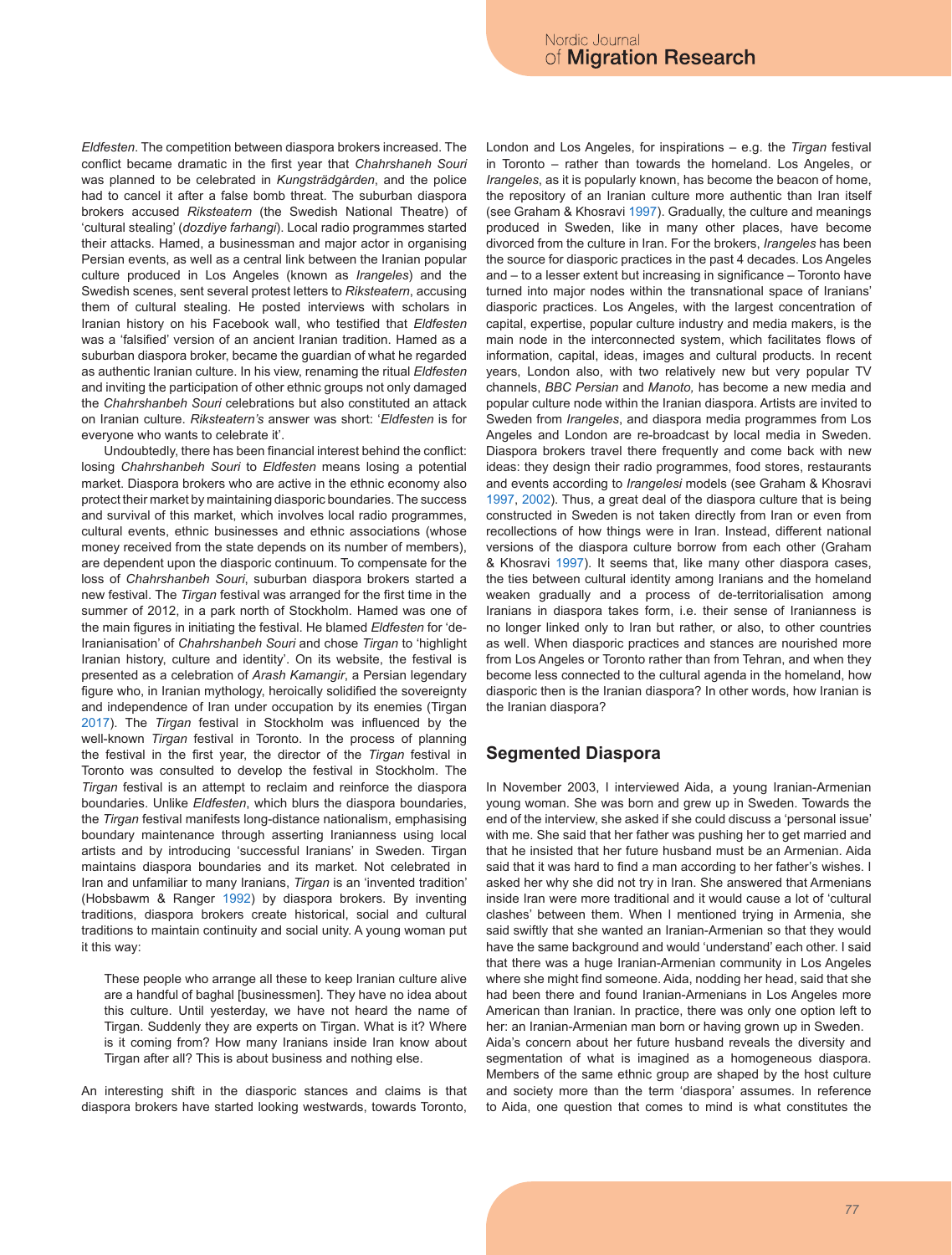*Eldfesten*. The competition between diaspora brokers increased. The conflict became dramatic in the first year that *Chahrshaneh Souri* was planned to be celebrated in *Kungsträdgården*, and the police had to cancel it after a false bomb threat. The suburban diaspora brokers accused *Riksteatern* (the Swedish National Theatre) of 'cultural stealing' (*dozdiye farhangi*). Local radio programmes started their attacks. Hamed, a businessman and major actor in organising Persian events, as well as a central link between the Iranian popular culture produced in Los Angeles (known as *Irangeles*) and the Swedish scenes, sent several protest letters to *Riksteatern*, accusing them of cultural stealing. He posted interviews with scholars in Iranian history on his Facebook wall, who testified that *Eldfesten* was a 'falsified' version of an ancient Iranian tradition. Hamed as a suburban diaspora broker, became the guardian of what he regarded as authentic Iranian culture. In his view, renaming the ritual *Eldfesten* and inviting the participation of other ethnic groups not only damaged the *Chahrshanbeh Souri* celebrations but also constituted an attack on Iranian culture. *Riksteatern's* answer was short: '*Eldfesten* is for everyone who wants to celebrate it'.

Undoubtedly, there has been financial interest behind the conflict: losing *Chahrshanbeh Souri* to *Eldfesten* means losing a potential market. Diaspora brokers who are active in the ethnic economy also protect their market by maintaining diasporic boundaries. The success and survival of this market, which involves local radio programmes, cultural events, ethnic businesses and ethnic associations (whose money received from the state depends on its number of members), are dependent upon the diasporic continuum. To compensate for the loss of *Chahrshanbeh Souri*, suburban diaspora brokers started a new festival. The *Tirgan* festival was arranged for the first time in the summer of 2012, in a park north of Stockholm. Hamed was one of the main figures in initiating the festival. He blamed *Eldfesten* for 'de-Iranianisation' of *Chahrshanbeh Souri* and chose *Tirgan* to 'highlight Iranian history, culture and identity'. On its website, the festival is presented as a celebration of *Arash Kamangir*, a Persian legendary figure who, in Iranian mythology, heroically solidified the sovereignty and independence of Iran under occupation by its enemies (Tirgan 2017). The *Tirgan* festival in Stockholm was influenced by the well-known *Tirgan* festival in Toronto. In the process of planning the festival in the first year, the director of the *Tirgan* festival in Toronto was consulted to develop the festival in Stockholm. The *Tirgan* festival is an attempt to reclaim and reinforce the diaspora boundaries. Unlike *Eldfesten*, which blurs the diaspora boundaries, the *Tirgan* festival manifests long-distance nationalism, emphasising boundary maintenance through asserting Iranianness using local artists and by introducing 'successful Iranians' in Sweden. Tirgan maintains diaspora boundaries and its market. Not celebrated in Iran and unfamiliar to many Iranians, *Tirgan* is an 'invented tradition' (Hobsbawm & Ranger 1992) by diaspora brokers. By inventing traditions, diaspora brokers create historical, social and cultural traditions to maintain continuity and social unity. A young woman put it this way:

These people who arrange all these to keep Iranian culture alive are a handful of baghal [businessmen]. They have no idea about this culture. Until yesterday, we have not heard the name of Tirgan. Suddenly they are experts on Tirgan. What is it? Where is it coming from? How many Iranians inside Iran know about Tirgan after all? This is about business and nothing else.

An interesting shift in the diasporic stances and claims is that diaspora brokers have started looking westwards, towards Toronto, London and Los Angeles, for inspirations – e.g. the *Tirgan* festival in Toronto – rather than towards the homeland. Los Angeles, or *Irangeles*, as it is popularly known, has become the beacon of home, the repository of an Iranian culture more authentic than Iran itself (see Graham & Khosravi 1997). Gradually, the culture and meanings produced in Sweden, like in many other places, have become divorced from the culture in Iran. For the brokers, *Irangeles* has been the source for diasporic practices in the past 4 decades. Los Angeles and – to a lesser extent but increasing in significance – Toronto have turned into major nodes within the transnational space of Iranians' diasporic practices. Los Angeles, with the largest concentration of capital, expertise, popular culture industry and media makers, is the main node in the interconnected system, which facilitates flows of information, capital, ideas, images and cultural products. In recent years, London also, with two relatively new but very popular TV channels, *BBC Persian* and *Manoto,* has become a new media and popular culture node within the Iranian diaspora. Artists are invited to Sweden from *Irangeles*, and diaspora media programmes from Los Angeles and London are re-broadcast by local media in Sweden. Diaspora brokers travel there frequently and come back with new ideas: they design their radio programmes, food stores, restaurants and events according to *Irangelesi* models (see Graham & Khosravi 1997, 2002). Thus, a great deal of the diaspora culture that is being constructed in Sweden is not taken directly from Iran or even from recollections of how things were in Iran. Instead, different national versions of the diaspora culture borrow from each other (Graham & Khosravi 1997). It seems that, like many other diaspora cases, the ties between cultural identity among Iranians and the homeland weaken gradually and a process of de-territorialisation among Iranians in diaspora takes form, i.e. their sense of Iranianness is no longer linked only to Iran but rather, or also, to other countries as well. When diasporic practices and stances are nourished more from Los Angeles or Toronto rather than from Tehran, and when they become less connected to the cultural agenda in the homeland, how diasporic then is the Iranian diaspora? In other words, how Iranian is the Iranian diaspora?

#### **Segmented Diaspora**

In November 2003, I interviewed Aida, a young Iranian-Armenian young woman. She was born and grew up in Sweden. Towards the end of the interview, she asked if she could discuss a 'personal issue' with me. She said that her father was pushing her to get married and that he insisted that her future husband must be an Armenian. Aida said that it was hard to find a man according to her father's wishes. I asked her why she did not try in Iran. She answered that Armenians inside Iran were more traditional and it would cause a lot of 'cultural clashes' between them. When I mentioned trying in Armenia, she said swiftly that she wanted an Iranian-Armenian so that they would have the same background and would 'understand' each other. I said that there was a huge Iranian-Armenian community in Los Angeles where she might find someone. Aida, nodding her head, said that she had been there and found Iranian-Armenians in Los Angeles more American than Iranian. In practice, there was only one option left to her: an Iranian-Armenian man born or having grown up in Sweden. Aida's concern about her future husband reveals the diversity and segmentation of what is imagined as a homogeneous diaspora. Members of the same ethnic group are shaped by the host culture and society more than the term 'diaspora' assumes. In reference to Aida, one question that comes to mind is what constitutes the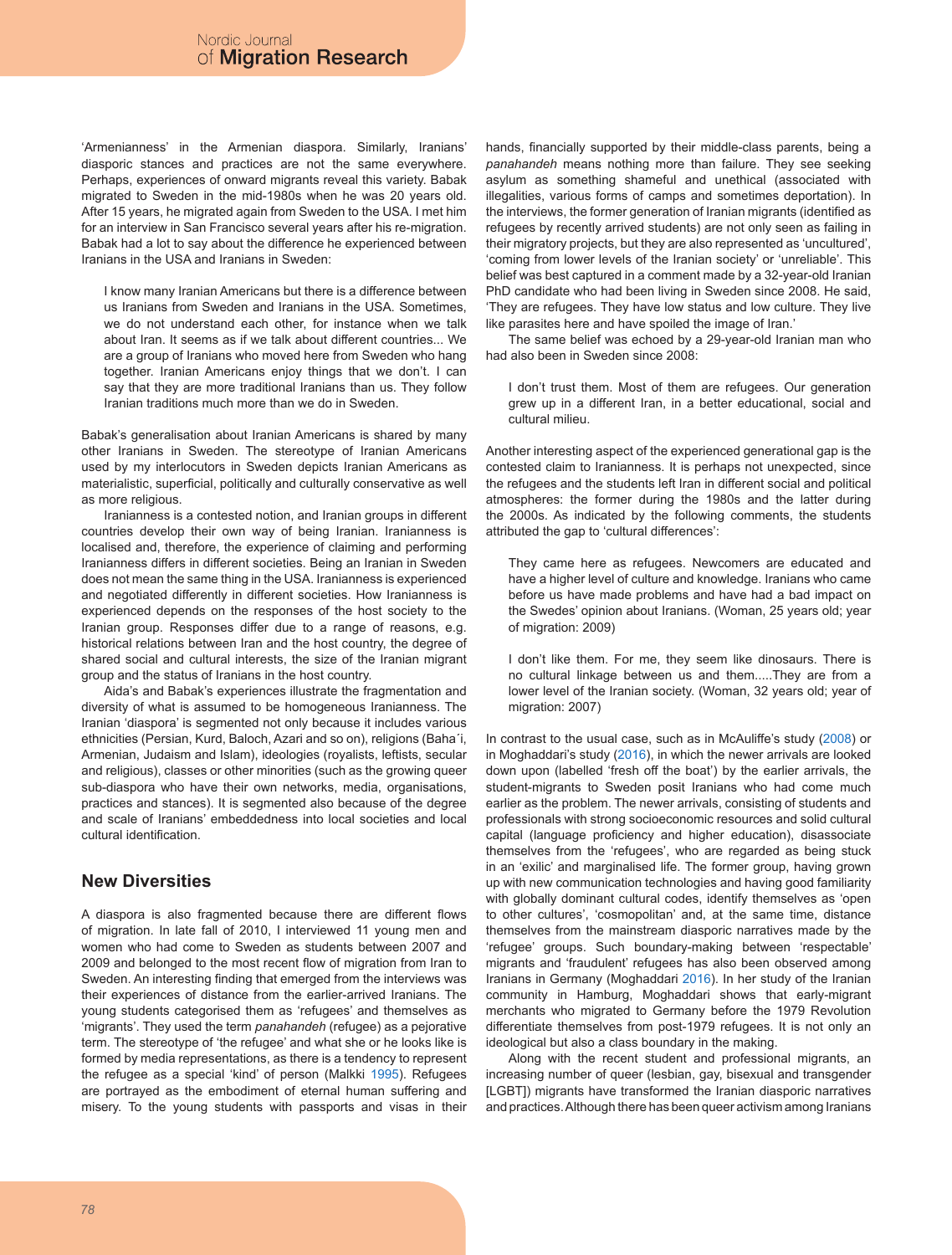'Armenianness' in the Armenian diaspora. Similarly, Iranians' diasporic stances and practices are not the same everywhere. Perhaps, experiences of onward migrants reveal this variety. Babak migrated to Sweden in the mid-1980s when he was 20 years old. After 15 years, he migrated again from Sweden to the USA. I met him for an interview in San Francisco several years after his re-migration. Babak had a lot to say about the difference he experienced between Iranians in the USA and Iranians in Sweden:

I know many Iranian Americans but there is a difference between us Iranians from Sweden and Iranians in the USA. Sometimes, we do not understand each other, for instance when we talk about Iran. It seems as if we talk about different countries... We are a group of Iranians who moved here from Sweden who hang together. Iranian Americans enjoy things that we don't. I can say that they are more traditional Iranians than us. They follow Iranian traditions much more than we do in Sweden.

Babak's generalisation about Iranian Americans is shared by many other Iranians in Sweden. The stereotype of Iranian Americans used by my interlocutors in Sweden depicts Iranian Americans as materialistic, superficial, politically and culturally conservative as well as more religious.

Iranianness is a contested notion, and Iranian groups in different countries develop their own way of being Iranian. Iranianness is localised and, therefore, the experience of claiming and performing Iranianness differs in different societies. Being an Iranian in Sweden does not mean the same thing in the USA. Iranianness is experienced and negotiated differently in different societies. How Iranianness is experienced depends on the responses of the host society to the Iranian group. Responses differ due to a range of reasons, e.g. historical relations between Iran and the host country, the degree of shared social and cultural interests, the size of the Iranian migrant group and the status of Iranians in the host country.

Aida's and Babak's experiences illustrate the fragmentation and diversity of what is assumed to be homogeneous Iranianness. The Iranian 'diaspora' is segmented not only because it includes various ethnicities (Persian, Kurd, Baloch, Azari and so on), religions (Baha´i, Armenian, Judaism and Islam), ideologies (royalists, leftists, secular and religious), classes or other minorities (such as the growing queer sub-diaspora who have their own networks, media, organisations, practices and stances). It is segmented also because of the degree and scale of Iranians' embeddedness into local societies and local cultural identification.

# **New Diversities**

A diaspora is also fragmented because there are different flows of migration. In late fall of 2010, I interviewed 11 young men and women who had come to Sweden as students between 2007 and 2009 and belonged to the most recent flow of migration from Iran to Sweden. An interesting finding that emerged from the interviews was their experiences of distance from the earlier-arrived Iranians. The young students categorised them as 'refugees' and themselves as 'migrants'. They used the term *panahandeh* (refugee) as a pejorative term. The stereotype of 'the refugee' and what she or he looks like is formed by media representations, as there is a tendency to represent the refugee as a special 'kind' of person (Malkki 1995). Refugees are portrayed as the embodiment of eternal human suffering and misery. To the young students with passports and visas in their hands, financially supported by their middle-class parents, being a *panahandeh* means nothing more than failure. They see seeking asylum as something shameful and unethical (associated with illegalities, various forms of camps and sometimes deportation). In the interviews, the former generation of Iranian migrants (identified as refugees by recently arrived students) are not only seen as failing in their migratory projects, but they are also represented as 'uncultured', 'coming from lower levels of the Iranian society' or 'unreliable'. This belief was best captured in a comment made by a 32-year-old Iranian PhD candidate who had been living in Sweden since 2008. He said, 'They are refugees. They have low status and low culture. They live like parasites here and have spoiled the image of Iran.'

The same belief was echoed by a 29-year-old Iranian man who had also been in Sweden since 2008:

I don't trust them. Most of them are refugees. Our generation grew up in a different Iran, in a better educational, social and cultural milieu.

Another interesting aspect of the experienced generational gap is the contested claim to Iranianness. It is perhaps not unexpected, since the refugees and the students left Iran in different social and political atmospheres: the former during the 1980s and the latter during the 2000s. As indicated by the following comments, the students attributed the gap to 'cultural differences':

They came here as refugees. Newcomers are educated and have a higher level of culture and knowledge. Iranians who came before us have made problems and have had a bad impact on the Swedes' opinion about Iranians. (Woman, 25 years old; year of migration: 2009)

I don't like them. For me, they seem like dinosaurs. There is no cultural linkage between us and them.....They are from a lower level of the Iranian society. (Woman, 32 years old; year of migration: 2007)

In contrast to the usual case, such as in McAuliffe's study (2008) or in Moghaddari's study (2016), in which the newer arrivals are looked down upon (labelled 'fresh off the boat') by the earlier arrivals, the student-migrants to Sweden posit Iranians who had come much earlier as the problem. The newer arrivals, consisting of students and professionals with strong socioeconomic resources and solid cultural capital (language proficiency and higher education), disassociate themselves from the 'refugees', who are regarded as being stuck in an 'exilic' and marginalised life. The former group, having grown up with new communication technologies and having good familiarity with globally dominant cultural codes, identify themselves as 'open to other cultures', 'cosmopolitan' and, at the same time, distance themselves from the mainstream diasporic narratives made by the 'refugee' groups. Such boundary-making between 'respectable' migrants and 'fraudulent' refugees has also been observed among Iranians in Germany (Moghaddari 2016). In her study of the Iranian community in Hamburg, Moghaddari shows that early-migrant merchants who migrated to Germany before the 1979 Revolution differentiate themselves from post-1979 refugees. It is not only an ideological but also a class boundary in the making.

Along with the recent student and professional migrants, an increasing number of queer (lesbian, gay, bisexual and transgender [LGBT]) migrants have transformed the Iranian diasporic narratives and practices. Although there has been queer activism among Iranians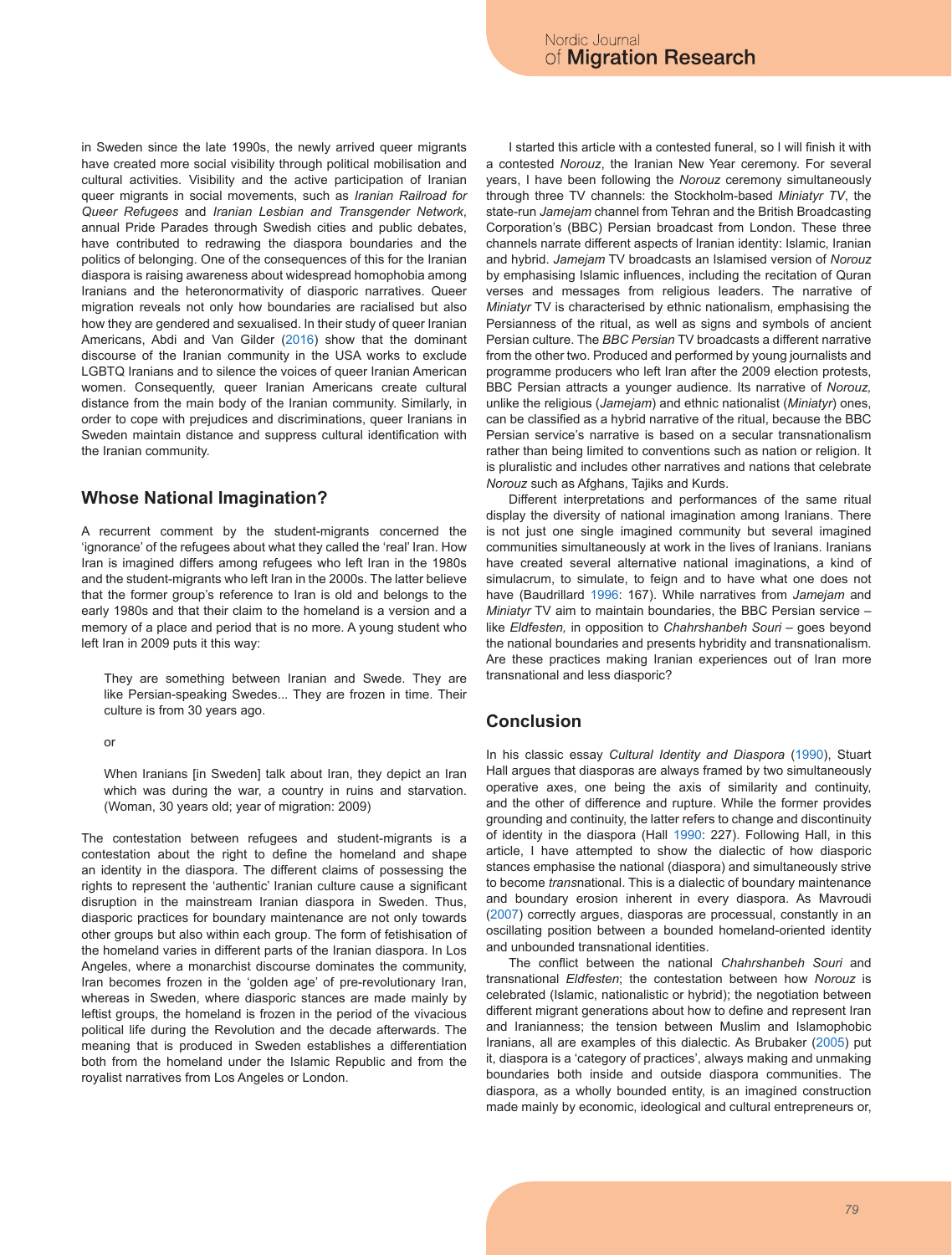in Sweden since the late 1990s, the newly arrived queer migrants have created more social visibility through political mobilisation and cultural activities*.* Visibility and the active participation of Iranian queer migrants in social movements, such as *Iranian Railroad for Queer Refugees* and *Iranian Lesbian and Transgender Network*, annual Pride Parades through Swedish cities and public debates, have contributed to redrawing the diaspora boundaries and the politics of belonging. One of the consequences of this for the Iranian diaspora is raising awareness about widespread homophobia among Iranians and the heteronormativity of diasporic narratives. Queer migration reveals not only how boundaries are racialised but also how they are gendered and sexualised. In their study of queer Iranian Americans, Abdi and Van Gilder (2016) show that the dominant discourse of the Iranian community in the USA works to exclude LGBTQ Iranians and to silence the voices of queer Iranian American women. Consequently, queer Iranian Americans create cultural distance from the main body of the Iranian community. Similarly, in order to cope with prejudices and discriminations, queer Iranians in Sweden maintain distance and suppress cultural identification with the Iranian community.

# **Whose National Imagination?**

A recurrent comment by the student-migrants concerned the 'ignorance' of the refugees about what they called the 'real' Iran. How Iran is imagined differs among refugees who left Iran in the 1980s and the student-migrants who left Iran in the 2000s. The latter believe that the former group's reference to Iran is old and belongs to the early 1980s and that their claim to the homeland is a version and a memory of a place and period that is no more. A young student who left Iran in 2009 puts it this way:

They are something between Iranian and Swede. They are like Persian-speaking Swedes... They are frozen in time. Their culture is from 30 years ago.

or

When Iranians (in Sweden) talk about Iran, they depict an Iran which was during the war, a country in ruins and starvation. (Woman, 30 years old; year of migration: 2009)

The contestation between refugees and student-migrants is a contestation about the right to define the homeland and shape an identity in the diaspora. The different claims of possessing the rights to represent the 'authentic' Iranian culture cause a significant disruption in the mainstream Iranian diaspora in Sweden. Thus, diasporic practices for boundary maintenance are not only towards other groups but also within each group. The form of fetishisation of the homeland varies in different parts of the Iranian diaspora. In Los Angeles, where a monarchist discourse dominates the community, Iran becomes frozen in the 'golden age' of pre-revolutionary Iran, whereas in Sweden, where diasporic stances are made mainly by leftist groups, the homeland is frozen in the period of the vivacious political life during the Revolution and the decade afterwards. The meaning that is produced in Sweden establishes a differentiation both from the homeland under the Islamic Republic and from the royalist narratives from Los Angeles or London.

I started this article with a contested funeral, so I will finish it with a contested *Norouz*, the Iranian New Year ceremony. For several years, I have been following the *Norouz* ceremony simultaneously through three TV channels: the Stockholm-based *Miniatyr TV*, the state-run *Jamejam* channel from Tehran and the British Broadcasting Corporation's (BBC) Persian broadcast from London. These three channels narrate different aspects of Iranian identity: Islamic, Iranian and hybrid. *Jamejam* TV broadcasts an Islamised version of *Norouz* by emphasising Islamic influences, including the recitation of Quran verses and messages from religious leaders. The narrative of *Miniatyr* TV is characterised by ethnic nationalism, emphasising the Persianness of the ritual, as well as signs and symbols of ancient Persian culture. The *BBC Persian* TV broadcasts a different narrative from the other two. Produced and performed by young journalists and programme producers who left Iran after the 2009 election protests, BBC Persian attracts a younger audience. Its narrative of *Norouz,* unlike the religious (*Jamejam*) and ethnic nationalist (*Miniatyr*) ones, can be classified as a hybrid narrative of the ritual, because the BBC Persian service's narrative is based on a secular transnationalism rather than being limited to conventions such as nation or religion. It is pluralistic and includes other narratives and nations that celebrate *Norouz* such as Afghans, Tajiks and Kurds.

Different interpretations and performances of the same ritual display the diversity of national imagination among Iranians. There is not just one single imagined community but several imagined communities simultaneously at work in the lives of Iranians. Iranians have created several alternative national imaginations, a kind of simulacrum, to simulate, to feign and to have what one does not have (Baudrillard 1996: 167). While narratives from *Jamejam* and *Miniatyr* TV aim to maintain boundaries, the BBC Persian service – like *Eldfesten,* in opposition to *Chahrshanbeh Souri* – goes beyond the national boundaries and presents hybridity and transnationalism. Are these practices making Iranian experiences out of Iran more transnational and less diasporic?

#### **Conclusion**

In his classic essay *Cultural Identity and Diaspora* (1990), Stuart Hall argues that diasporas are always framed by two simultaneously operative axes, one being the axis of similarity and continuity, and the other of difference and rupture. While the former provides grounding and continuity, the latter refers to change and discontinuity of identity in the diaspora (Hall 1990: 227). Following Hall, in this article, I have attempted to show the dialectic of how diasporic stances emphasise the national (diaspora) and simultaneously strive to become *trans*national. This is a dialectic of boundary maintenance and boundary erosion inherent in every diaspora. As Mavroudi (2007) correctly argues, diasporas are processual, constantly in an oscillating position between a bounded homeland-oriented identity and unbounded transnational identities.

The conflict between the national *Chahrshanbeh Souri* and transnational *Eldfesten*; the contestation between how *Norouz* is celebrated (Islamic, nationalistic or hybrid); the negotiation between different migrant generations about how to define and represent Iran and Iranianness; the tension between Muslim and Islamophobic Iranians, all are examples of this dialectic. As Brubaker (2005) put it, diaspora is a 'category of practices', always making and unmaking boundaries both inside and outside diaspora communities. The diaspora, as a wholly bounded entity, is an imagined construction made mainly by economic, ideological and cultural entrepreneurs or,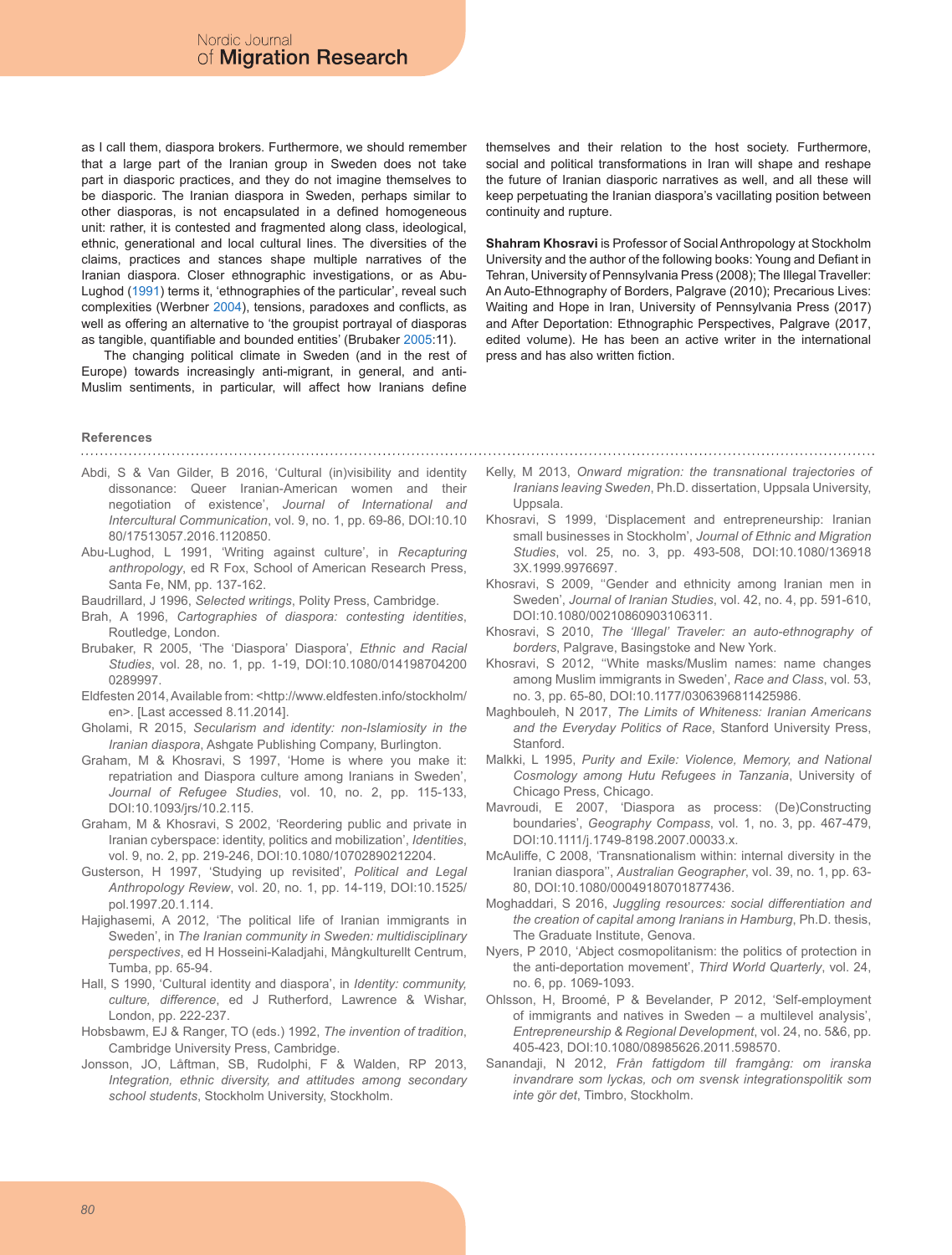as I call them, diaspora brokers. Furthermore, we should remember that a large part of the Iranian group in Sweden does not take part in diasporic practices, and they do not imagine themselves to be diasporic. The Iranian diaspora in Sweden, perhaps similar to other diasporas, is not encapsulated in a defined homogeneous unit: rather, it is contested and fragmented along class, ideological, ethnic, generational and local cultural lines. The diversities of the claims, practices and stances shape multiple narratives of the Iranian diaspora. Closer ethnographic investigations, or as Abu-Lughod (1991) terms it, 'ethnographies of the particular', reveal such complexities (Werbner 2004), tensions, paradoxes and conflicts, as well as offering an alternative to 'the groupist portrayal of diasporas as tangible, quantifiable and bounded entities' (Brubaker 2005:11).

The changing political climate in Sweden (and in the rest of Europe) towards increasingly anti-migrant, in general, and anti-Muslim sentiments, in particular, will affect how Iranians define

themselves and their relation to the host society. Furthermore, social and political transformations in Iran will shape and reshape the future of Iranian diasporic narratives as well, and all these will keep perpetuating the Iranian diaspora's vacillating position between continuity and rupture.

**Shahram Khosravi** is Professor of Social Anthropology at Stockholm University and the author of the following books: Young and Defiant in Tehran, University of Pennsylvania Press (2008); The Illegal Traveller: An Auto-Ethnography of Borders, Palgrave (2010); Precarious Lives: Waiting and Hope in Iran, University of Pennsylvania Press (2017) and After Deportation: Ethnographic Perspectives, Palgrave (2017, edited volume). He has been an active writer in the international press and has also written fiction.

#### **References**

- Abdi, S & Van Gilder, B 2016, 'Cultural (in)visibility and identity dissonance: Queer Iranian-American women and their negotiation of existence', *Journal of International and Intercultural Communication*, vol. 9, no. 1, pp. 69-86, DOI:10.10 80/17513057.2016.1120850.
- Abu-Lughod, L 1991, 'Writing against culture', in *Recapturing anthropology*, ed R Fox, School of American Research Press, Santa Fe, NM, pp. 137-162.
- Baudrillard, J 1996, *Selected writings*, Polity Press, Cambridge.
- Brah, A 1996, *Cartographies of diaspora: contesting identities*, Routledge, London.
- Brubaker, R 2005, 'The 'Diaspora' Diaspora', *Ethnic and Racial Studies*, vol. 28, no. 1, pp. 1-19, DOI:10.1080/014198704200 0289997.
- Eldfesten 2014, Available from: <http://www.eldfesten.info/stockholm/ en>. [Last accessed 8.11.2014].
- Gholami, R 2015, *Secularism and identity: non-Islamiosity in the Iranian diaspora*, Ashgate Publishing Company, Burlington.
- Graham, M & Khosravi, S 1997, 'Home is where you make it: repatriation and Diaspora culture among Iranians in Sweden', *Journal of Refugee Studies*, vol. 10, no. 2, pp. 115-133, DOI:10.1093/jrs/10.2.115.
- Graham, M & Khosravi, S 2002, 'Reordering public and private in Iranian cyberspace: identity, politics and mobilization', *Identities*, vol. 9, no. 2, pp. 219-246, DOI:10.1080/10702890212204.
- Gusterson, H 1997, 'Studying up revisited', *Political and Legal Anthropology Review*, vol. 20, no. 1, pp. 14-119, DOI:10.1525/ pol.1997.20.1.114.
- Hajighasemi, A 2012, 'The political life of Iranian immigrants in Sweden', in *The Iranian community in Sweden: multidisciplinary perspectives*, ed H Hosseini-Kaladjahi, Mångkulturellt Centrum, Tumba, pp. 65-94.
- Hall, S 1990, 'Cultural identity and diaspora', in *Identity: community, culture, difference*, ed J Rutherford, Lawrence & Wishar, London, pp. 222-237.
- Hobsbawm, EJ & Ranger, TO (eds.) 1992, *The invention of tradition*, Cambridge University Press, Cambridge.
- Jonsson, JO, Låftman, SB, Rudolphi, F & Walden, RP 2013, *Integration, ethnic diversity, and attitudes among secondary school students*, Stockholm University, Stockholm.
- Kelly, M 2013, *Onward migration: the transnational trajectories of Iranians leaving Sweden*, Ph.D. dissertation, Uppsala University, Uppsala.
- Khosravi, S 1999, 'Displacement and entrepreneurship: Iranian small businesses in Stockholm', *Journal of Ethnic and Migration Studies*, vol. 25, no. 3, pp. 493-508, DOI:10.1080/136918 3X.1999.9976697.
- Khosravi, S 2009, ''Gender and ethnicity among Iranian men in Sweden', *Journal of Iranian Studies*, vol. 42, no. 4, pp. 591-610, DOI:10.1080/00210860903106311.
- Khosravi, S 2010, *The 'Illegal' Traveler: an auto-ethnography of borders*, Palgrave, Basingstoke and New York.
- Khosravi, S 2012, ''White masks/Muslim names: name changes among Muslim immigrants in Sweden', *Race and Class*, vol. 53, no. 3, pp. 65-80, DOI:10.1177/0306396811425986.
- Maghbouleh, N 2017, *The Limits of Whiteness: Iranian Americans and the Everyday Politics of Race*, Stanford University Press, Stanford.
- Malkki, L 1995, *Purity and Exile: Violence, Memory, and National Cosmology among Hutu Refugees in Tanzania*, University of Chicago Press, Chicago.
- Mavroudi, E 2007, 'Diaspora as process: (De)Constructing boundaries', *Geography Compass*, vol. 1, no. 3, pp. 467-479, DOI:10.1111/j.1749-8198.2007.00033.x.
- McAuliffe, C 2008, 'Transnationalism within: internal diversity in the Iranian diaspora'', *Australian Geographer*, vol. 39, no. 1, pp. 63- 80, DOI:10.1080/00049180701877436.
- Moghaddari, S 2016, *Juggling resources: social differentiation and the creation of capital among Iranians in Hamburg*, Ph.D. thesis, The Graduate Institute, Genova.
- Nyers, P 2010, 'Abject cosmopolitanism: the politics of protection in the anti-deportation movement', *Third World Quarterly*, vol. 24, no. 6, pp. 1069-1093.
- Ohlsson, H, Broomé, P & Bevelander, P 2012, 'Self-employment of immigrants and natives in Sweden – a multilevel analysis', *Entrepreneurship & Regional Development*, vol. 24, no. 5&6, pp. 405-423, DOI:10.1080/08985626.2011.598570.
- Sanandaji, N 2012, *Från fattigdom till framgång: om iranska invandrare som lyckas, och om svensk integrationspolitik som inte gör det*, Timbro, Stockholm.